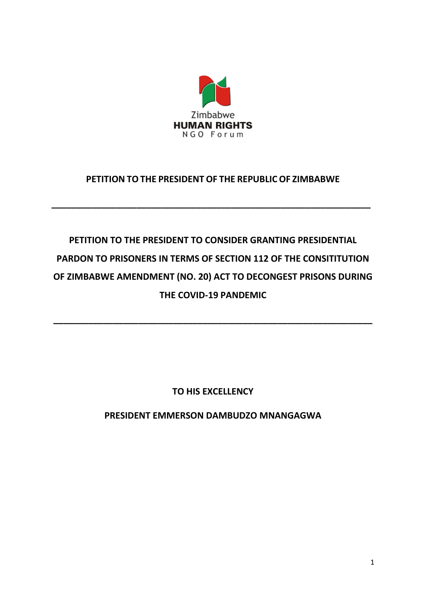

# **PETITION TO THE PRESIDENT OF THE REPUBLIC OF ZIMBABWE**

**\_\_\_\_\_\_\_\_\_\_\_\_\_\_\_\_\_\_\_\_\_\_\_\_\_\_\_\_\_\_\_\_\_\_\_\_\_\_\_\_\_\_\_\_\_\_\_\_\_\_\_\_\_\_\_\_\_\_\_\_\_\_\_\_**

# **PETITION TO THE PRESIDENT TO CONSIDER GRANTING PRESIDENTIAL PARDON TO PRISONERS IN TERMS OF SECTION 112 OF THE CONSITITUTION OF ZIMBABWE AMENDMENT (NO. 20) ACT TO DECONGEST PRISONS DURING THE COVID-19 PANDEMIC**

**\_\_\_\_\_\_\_\_\_\_\_\_\_\_\_\_\_\_\_\_\_\_\_\_\_\_\_\_\_\_\_\_\_\_\_\_\_\_\_\_\_\_\_\_\_\_\_\_\_\_\_\_\_\_\_\_\_\_\_\_\_\_\_\_**

**TO HIS EXCELLENCY**

**PRESIDENT EMMERSON DAMBUDZO MNANGAGWA**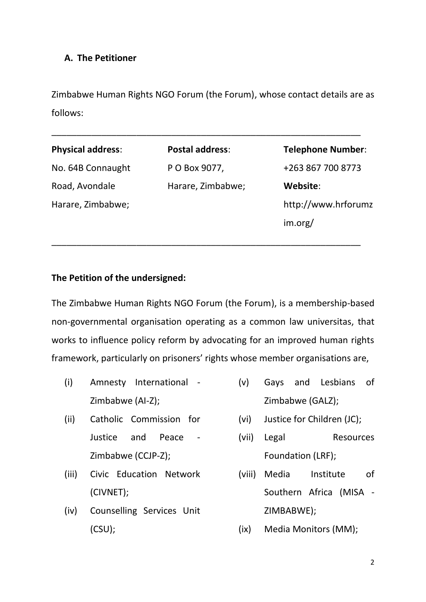## **A. The Petitioner**

Zimbabwe Human Rights NGO Forum (the Forum), whose contact details are as follows:

\_\_\_\_\_\_\_\_\_\_\_\_\_\_\_\_\_\_\_\_\_\_\_\_\_\_\_\_\_\_\_\_\_\_\_\_\_\_\_\_\_\_\_\_\_\_\_\_\_\_\_\_\_\_\_\_\_\_\_\_\_\_

| <b>Physical address:</b> | Postal address:   | <b>Telephone Number:</b> |
|--------------------------|-------------------|--------------------------|
| No. 64B Connaught        | P O Box 9077,     | +263 867 700 8773        |
| Road, Avondale           | Harare, Zimbabwe; | Website:                 |
| Harare, Zimbabwe;        |                   | http://www.hrforumz      |
|                          |                   | im.org/                  |
|                          |                   |                          |

\_\_\_\_\_\_\_\_\_\_\_\_\_\_\_\_\_\_\_\_\_\_\_\_\_\_\_\_\_\_\_\_\_\_\_\_\_\_\_\_\_\_\_\_\_\_\_\_\_\_\_\_\_\_\_\_\_\_\_\_\_\_

# **The Petition of the undersigned:**

The Zimbabwe Human Rights NGO Forum (the Forum), is a membership-based non-governmental organisation operating as a common law universitas, that works to influence policy reform by advocating for an improved human rights framework, particularly on prisoners' rights whose member organisations are,

- (i) Amnesty International Zimbabwe (AI-Z);
- (ii) Catholic Commission for Justice and Peace - Zimbabwe (CCJP-Z);
- (iii) Civic Education Network (CIVNET);
- (iv) Counselling Services Unit (CSU);
- (v) Gays and Lesbians of Zimbabwe (GALZ);
- (vi) Justice for Children (JC);
- (vii) Legal Resources Foundation (LRF);
- (viii) Media Institute of Southern Africa (MISA - ZIMBABWE);
- (ix) Media Monitors (MM);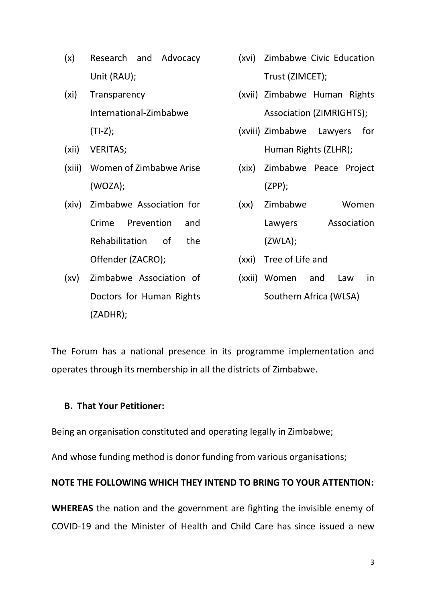- (x) Research and Advocacy Unit (RAU);
- (xi) Transparency International-Zimbabwe  $(TI-Z);$
- (xii) VERITAS;
- (xiii) Women of Zimbabwe Arise (WOZA);
- (xiv) Zimbabwe Association for Crime Prevention and Rehabilitation of the Offender (ZACRO);
- (xv) Zimbabwe Association of Doctors for Human Rights (ZADHR);
- (xvi) Zimbabwe Civic Education Trust (ZIMCET);
- (xvii) Zimbabwe Human Rights Association (ZIMRIGHTS);
- (xviii) Zimbabwe Lawyers for Human Rights (ZLHR);
- (xix) Zimbabwe Peace Project (ZPP);
- (xx) Zimbabwe Women Lawyers Association (ZWLA);
- (xxi) Tree of Life and
- (xxii) Women and Law in Southern Africa (WLSA)

The Forum has a national presence in its programme implementation and operates through its membership in all the districts of Zimbabwe.

## **B. That Your Petitioner:**

Being an organisation constituted and operating legally in Zimbabwe;

And whose funding method is donor funding from various organisations;

## **NOTE THE FOLLOWING WHICH THEY INTEND TO BRING TO YOUR ATTENTION:**

**WHEREAS** the nation and the government are fighting the invisible enemy of COVID-19 and the Minister of Health and Child Care has since issued a new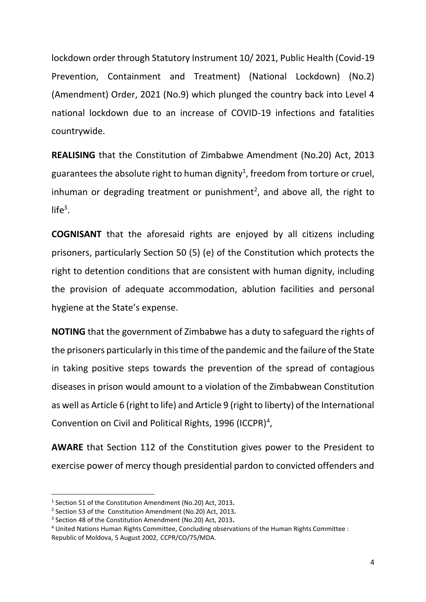lockdown order through Statutory Instrument 10/ 2021, Public Health (Covid-19 Prevention, Containment and Treatment) (National Lockdown) (No.2) (Amendment) Order, 2021 (No.9) which plunged the country back into Level 4 national lockdown due to an increase of COVID-19 infections and fatalities countrywide.

**REALISING** that the Constitution of Zimbabwe Amendment (No.20) Act, 2013 guarantees the absolute right to human dignity<sup>1</sup>, freedom from torture or cruel, inhuman or degrading treatment or punishment<sup>2</sup>, and above all, the right to  $life<sup>3</sup>$ .

**COGNISANT** that the aforesaid rights are enjoyed by all citizens including prisoners, particularly Section 50 (5) (e) of the Constitution which protects the right to detention conditions that are consistent with human dignity, including the provision of adequate accommodation, ablution facilities and personal hygiene at the State's expense.

**NOTING** that the government of Zimbabwe has a duty to safeguard the rights of the prisoners particularly in this time of the pandemic and the failure of the State in taking positive steps towards the prevention of the spread of contagious diseases in prison would amount to a violation of the Zimbabwean Constitution as well as Article 6 (right to life) and Article 9 (right to liberty) of the International Convention on Civil and Political Rights, 1996 (ICCPR)<sup>4</sup>,

**AWARE** that Section 112 of the Constitution gives power to the President to exercise power of mercy though presidential pardon to convicted offenders and

<sup>1</sup> Section 51 of the Constitution Amendment (No.20) Act, 2013**.**

<sup>2</sup> Section 53 of the Constitution Amendment (No.20) Act, 2013**.**

<sup>3</sup> Section 48 of the Constitution Amendment (No.20) Act, 2013**.**

<sup>4</sup> United Nations Human Rights Committee, Concluding observations of the Human Rights Committee : Republic of Moldova, 5 August 2002, CCPR/CO/75/MDA.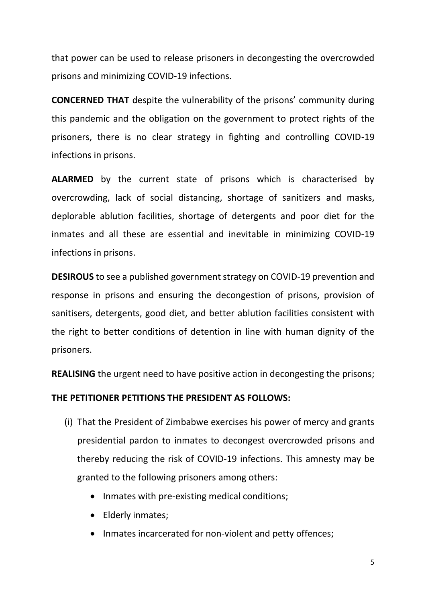that power can be used to release prisoners in decongesting the overcrowded prisons and minimizing COVID-19 infections.

**CONCERNED THAT** despite the vulnerability of the prisons' community during this pandemic and the obligation on the government to protect rights of the prisoners, there is no clear strategy in fighting and controlling COVID-19 infections in prisons.

**ALARMED** by the current state of prisons which is characterised by overcrowding, lack of social distancing, shortage of sanitizers and masks, deplorable ablution facilities, shortage of detergents and poor diet for the inmates and all these are essential and inevitable in minimizing COVID-19 infections in prisons.

**DESIROUS** to see a published government strategy on COVID-19 prevention and response in prisons and ensuring the decongestion of prisons, provision of sanitisers, detergents, good diet, and better ablution facilities consistent with the right to better conditions of detention in line with human dignity of the prisoners.

**REALISING** the urgent need to have positive action in decongesting the prisons;

## **THE PETITIONER PETITIONS THE PRESIDENT AS FOLLOWS:**

- (i) That the President of Zimbabwe exercises his power of mercy and grants presidential pardon to inmates to decongest overcrowded prisons and thereby reducing the risk of COVID-19 infections. This amnesty may be granted to the following prisoners among others:
	- Inmates with pre-existing medical conditions;
	- Elderly inmates;
	- Inmates incarcerated for non-violent and petty offences;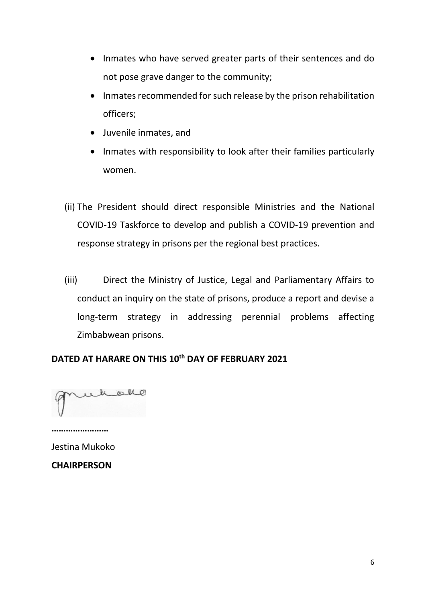- Inmates who have served greater parts of their sentences and do not pose grave danger to the community;
- Inmates recommended for such release by the prison rehabilitation officers;
- Juvenile inmates, and
- Inmates with responsibility to look after their families particularly women.
- (ii) The President should direct responsible Ministries and the National COVID-19 Taskforce to develop and publish a COVID-19 prevention and response strategy in prisons per the regional best practices.
- (iii) Direct the Ministry of Justice, Legal and Parliamentary Affairs to conduct an inquiry on the state of prisons, produce a report and devise a long-term strategy in addressing perennial problems affecting Zimbabwean prisons.

## **DATED AT HARARE ON THIS 10th DAY OF FEBRUARY 2021**

halle

**……………………** Jestina Mukoko

**CHAIRPERSON**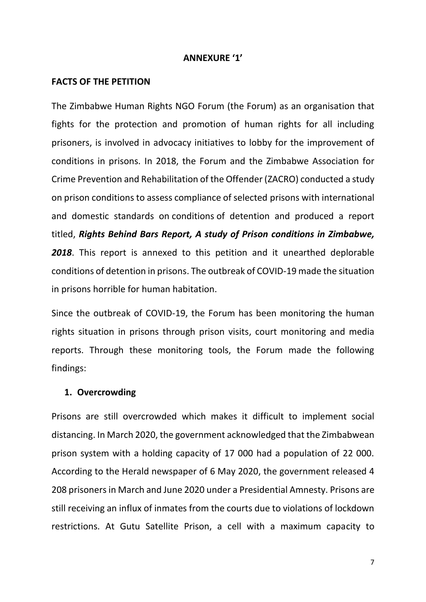#### **ANNEXURE '1'**

#### **FACTS OF THE PETITION**

The Zimbabwe Human Rights NGO Forum (the Forum) as an organisation that fights for the protection and promotion of human rights for all including prisoners, is involved in advocacy initiatives to lobby for the improvement of conditions in prisons. In 2018, the Forum and the Zimbabwe Association for Crime Prevention and Rehabilitation of the Offender (ZACRO) conducted a study on prison conditions to assess compliance of selected prisons with international and domestic standards on conditions of detention and produced a report titled, *Rights Behind Bars Report, A study of Prison conditions in Zimbabwe, 2018*. This report is annexed to this petition and it unearthed deplorable conditions of detention in prisons. The outbreak of COVID-19 made the situation in prisons horrible for human habitation.

Since the outbreak of COVID-19, the Forum has been monitoring the human rights situation in prisons through prison visits, court monitoring and media reports. Through these monitoring tools, the Forum made the following findings:

#### **1. Overcrowding**

Prisons are still overcrowded which makes it difficult to implement social distancing. In March 2020, the government acknowledged that the Zimbabwean prison system with a holding capacity of 17 000 had a population of 22 000. According to the Herald newspaper of 6 May 2020, the government released 4 208 prisoners in March and June 2020 under a Presidential Amnesty. Prisons are still receiving an influx of inmates from the courts due to violations of lockdown restrictions. At Gutu Satellite Prison, a cell with a maximum capacity to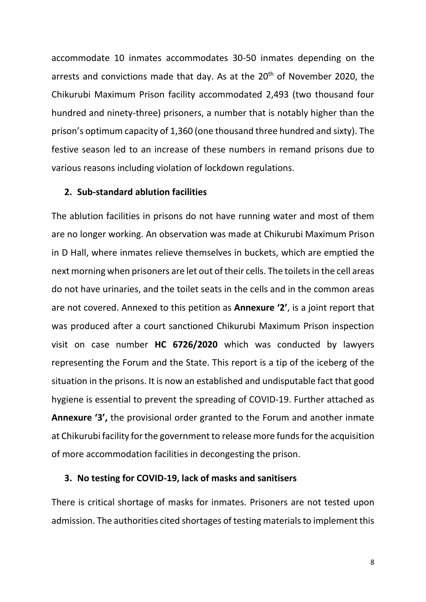accommodate 10 inmates accommodates 30-50 inmates depending on the arrests and convictions made that day. As at the 20<sup>th</sup> of November 2020, the Chikurubi Maximum Prison facility accommodated 2,493 (two thousand four hundred and ninety-three) prisoners, a number that is notably higher than the prison's optimum capacity of 1,360 (one thousand three hundred and sixty). The festive season led to an increase of these numbers in remand prisons due to various reasons including violation of lockdown regulations.

## **2. Sub-standard ablution facilities**

The ablution facilities in prisons do not have running water and most of them are no longer working. An observation was made at Chikurubi Maximum Prison in D Hall, where inmates relieve themselves in buckets, which are emptied the next morning when prisoners are let out of their cells. The toilets in the cell areas do not have urinaries, and the toilet seats in the cells and in the common areas are not covered. Annexed to this petition as **Annexure '2'**, is a joint report that was produced after a court sanctioned Chikurubi Maximum Prison inspection visit on case number **HC 6726/2020** which was conducted by lawyers representing the Forum and the State. This report is a tip of the iceberg of the situation in the prisons. It is now an established and undisputable fact that good hygiene is essential to prevent the spreading of COVID-19. Further attached as **Annexure '3',** the provisional order granted to the Forum and another inmate at Chikurubi facility for the government to release more funds for the acquisition of more accommodation facilities in decongesting the prison.

#### **3. No testing for COVID-19, lack of masks and sanitisers**

There is critical shortage of masks for inmates. Prisoners are not tested upon admission. The authorities cited shortages of testing materials to implement this